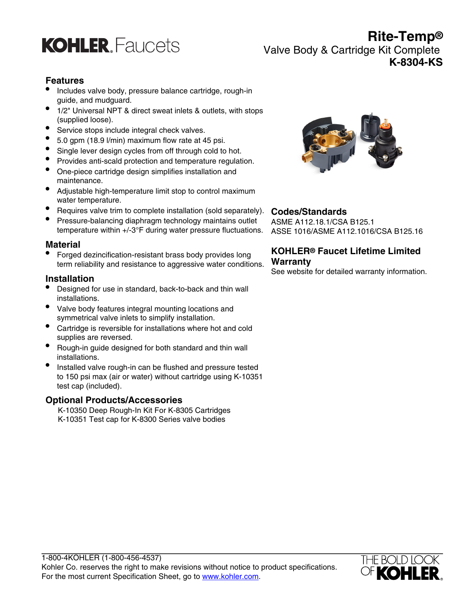

**Rite-Temp®** Valve Body & Cartridge Kit Complete **K-8304-KS**

# **Features**

- Includes valve body, pressure balance cartridge, rough-in guide, and mudguard.
- 1/2" Universal NPT & direct sweat inlets & outlets, with stops (supplied loose).
- Service stops include integral check valves.
- 5.0 gpm (18.9 l/min) maximum flow rate at 45 psi.
- Single lever design cycles from off through cold to hot.
- Provides anti-scald protection and temperature regulation.
- One-piece cartridge design simplifies installation and maintenance.
- Adjustable high-temperature limit stop to control maximum water temperature.
- Requires valve trim to complete installation (sold separately).
- Pressure-balancing diaphragm technology maintains outlet temperature within +/-3°F during water pressure fluctuations.

#### **Material**

• Forged dezincification-resistant brass body provides long term reliability and resistance to aggressive water conditions.

#### **Installation**

- Designed for use in standard, back-to-back and thin wall installations.
- Valve body features integral mounting locations and symmetrical valve inlets to simplify installation.
- Cartridge is reversible for installations where hot and cold supplies are reversed.
- Rough-in guide designed for both standard and thin wall installations.
- Installed valve rough-in can be flushed and pressure tested to 150 psi max (air or water) without cartridge using K-10351 test cap (included).

#### **Optional Products/Accessories**

K-10350 Deep Rough-In Kit For K-8305 Cartridges K-10351 Test cap for K-8300 Series valve bodies



## **Codes/Standards**

ASME A112.18.1/CSA B125.1 ASSE 1016/ASME A112.1016/CSA B125.16

## **KOHLER® Faucet Lifetime Limited Warranty**

See website for detailed warranty information.